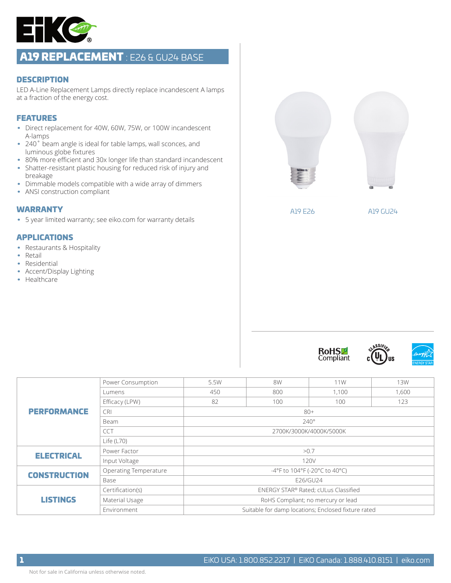

# A19 REPLACEMENT : E26 & GU24 BASE

#### **DESCRIPTION**

LED A-Line Replacement Lamps directly replace incandescent A lamps at a fraction of the energy cost.

### FEATURES

- Direct replacement for 40W, 60W, 75W, or 100W incandescent A-lamps
- 240° beam angle is ideal for table lamps, wall sconces, and luminous globe fixtures
- 80% more efficient and 30x longer life than standard incandescent
- Shatter-resistant plastic housing for reduced risk of injury and breakage
- Dimmable models compatible with a wide array of dimmers
- ANSI construction compliant

#### WARRANTY

• 5 year limited warranty; see eiko.com for warranty details

### APPLICATIONS

- Restaurants & Hospitality
- Retail
- Residential
- Accent/Display Lighting
- Healthcare



A19 E26 A19 GU24







| <b>PERFORMANCE</b>  | Power Consumption     | 5.5W                                                | 8W   | 11W   | <b>13W</b> |  |  |  |  |  |  |
|---------------------|-----------------------|-----------------------------------------------------|------|-------|------------|--|--|--|--|--|--|
|                     | Lumens                | 450                                                 | 800  | 1.100 | 1,600      |  |  |  |  |  |  |
|                     | Efficacy (LPW)        | 82                                                  | 100  | 100   | 123        |  |  |  |  |  |  |
|                     | <b>CRI</b>            | $80+$                                               |      |       |            |  |  |  |  |  |  |
|                     | Beam                  | $240^\circ$                                         |      |       |            |  |  |  |  |  |  |
|                     | <b>CCT</b>            | 2700K/3000K/4000K/5000K                             |      |       |            |  |  |  |  |  |  |
|                     | Life $(L70)$          |                                                     |      |       |            |  |  |  |  |  |  |
| <b>ELECTRICAL</b>   | Power Factor          |                                                     | >0.7 |       |            |  |  |  |  |  |  |
|                     | Input Voltage         | 120V                                                |      |       |            |  |  |  |  |  |  |
| <b>CONSTRUCTION</b> | Operating Temperature | -4°F to 104°F (-20°C to 40°C)                       |      |       |            |  |  |  |  |  |  |
|                     | Base                  | E26/GU24                                            |      |       |            |  |  |  |  |  |  |
|                     | Certification(s)      | ENERGY STAR® Rated; cULus Classified                |      |       |            |  |  |  |  |  |  |
| <b>LISTINGS</b>     | Material Usage        | RoHS Compliant; no mercury or lead                  |      |       |            |  |  |  |  |  |  |
|                     | Environment           | Suitable for damp locations; Enclosed fixture rated |      |       |            |  |  |  |  |  |  |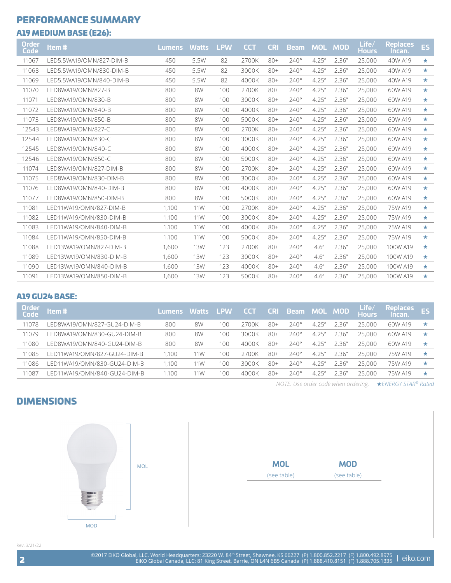### PERFORMANCE SUMMARY

### A19 MEDIUM BASE (E26):

| Order<br>Code | Item#                     | <b>Lumens</b> | <b>Watts</b> | <b>LPW</b> | <b>CCT</b> | <b>CRI</b> | <b>Beam</b> | <b>MOL</b> | <b>MOD</b> | Life/<br><b>Hours</b> | <b>Replaces</b><br>Incan. | ES      |
|---------------|---------------------------|---------------|--------------|------------|------------|------------|-------------|------------|------------|-----------------------|---------------------------|---------|
| 11067         | LED5.5WA19/OMN/827-DIM-B  | 450           | 5.5W         | 82         | 2700K      | $80+$      | $240^\circ$ | 4.25''     | 2.36''     | 25,000                | 40W A19                   | $\star$ |
| 11068         | LED5.5WA19/OMN/830-DIM-B  | 450           | 5.5W         | 82         | 3000K      | $80+$      | $240^\circ$ | 4.25''     | 2.36''     | 25,000                | 40W A19                   | $\star$ |
| 11069         | I FD5.5WA19/OMN/840-DIM-B | 450           | 5.5W         | 82         | 4000K      | $80+$      | $740^\circ$ | 4.25''     | 2.36''     | 25,000                | 40W A19                   | $\star$ |
| 11070         | LED8WA19/OMN/827-B        | 800           | 8W           | 100        | 2700K      | $80+$      | $240^\circ$ | 4.25''     | 2.36''     | 25,000                | 60W A19                   | $\star$ |
| 11071         | LED8WA19/OMN/830-B        | 800           | 8W           | 100        | 3000K      | $80+$      | $240^\circ$ | 4.25''     | 2.36''     | 25,000                | 60W A19                   | $\star$ |
| 11072         | LED8WA19/OMN/840-B        | 800           | 8W           | 100        | 4000K      | $80+$      | $240^\circ$ | 4.25''     | 2.36''     | 25,000                | 60W A19                   | $\star$ |
| 11073         | LED8WA19/OMN/850-B        | 800           | 8W           | 100        | 5000K      | $80+$      | $240^\circ$ | 4.25''     | 2.36''     | 25,000                | 60W A19                   | $\star$ |
| 12543         | I FD8WA19/OMN/827-C       | 800           | 8W           | 100        | 2700K      | $80+$      | $240^\circ$ | 4.25''     | 2.36''     | 25,000                | 60W A19                   | $\star$ |
| 12544         | LED8WA19/OMN/830-C        | 800           | 8W           | 100        | 3000K      | $80+$      | $240^\circ$ | 4.25''     | 2.36''     | 25,000                | 60W A19                   | $\star$ |
| 12545         | LED8WA19/OMN/840-C        | 800           | 8W           | 100        | 4000K      | $80+$      | $240^\circ$ | 4.25''     | 2.36''     | 25,000                | 60W A19                   | $\star$ |
| 12546         | LED8WA19/OMN/850-C        | 800           | 8W           | 100        | 5000K      | $80+$      | $240^\circ$ | 4.25''     | 2.36''     | 25,000                | 60W A19                   | $\star$ |
| 11074         | I FD8WA19/OMN/827-DIM-B   | 800           | 8W           | 100        | 2700K      | $80+$      | $240^\circ$ | 4.25''     | 2.36''     | 25,000                | 60W A19                   | $\star$ |
| 11075         | LED8WA19/OMN/830-DIM-B    | 800           | 8W           | 100        | 3000K      | $80+$      | $240^\circ$ | 4.25''     | 2.36''     | 25,000                | 60W A19                   | $\star$ |
| 11076         | LED8WA19/OMN/840-DIM-B    | 800           | 8W           | 100        | 4000K      | $80+$      | $240^\circ$ | 4.25''     | 2.36''     | 25,000                | 60W A19                   | $\star$ |
| 11077         | I FD8WA19/OMN/850-DIM-B   | 800           | 8W           | 100        | 5000K      | $80+$      | $240^\circ$ | 4.25''     | 2.36''     | 25,000                | 60W A19                   | $\star$ |
| 11081         | I FD11WA19/OMN/827-DIM-B  | 1.100         | 11W          | 100        | 2700K      | $80+$      | $740^\circ$ | 4.25''     | 2.36''     | 25,000                | 75W A19                   | $\star$ |
| 11082         | I FD11WA19/OMN/830-DIM-B  | 1.100         | 11W          | 100        | 3000K      | $80+$      | $240^\circ$ | 4.25''     | 2.36''     | 25,000                | 75W A19                   | $\star$ |
| 11083         | I FD11WA19/OMN/840-DIM-B  | 1.100         | 11W          | 100        | 4000K      | $80+$      | $240^\circ$ | 4.25''     | 2.36''     | 25,000                | 75W A19                   | $\star$ |
| 11084         | I FD11WA19/OMN/850-DIM-B  | 1.100         | 11W          | 100        | 5000K      | $80+$      | $240^\circ$ | 4.25''     | 2.36''     | 25,000                | 75W A19                   | $\star$ |
| 11088         | I FD13WA19/OMN/827-DIM-B  | 1,600         | 13W          | 123        | 2700K      | $80+$      | $740^\circ$ | 4.6''      | 2.36''     | 25,000                | 100W A19                  | $\star$ |
| 11089         | LED13WA19/OMN/830-DIM-B   | 1,600         | <b>13W</b>   | 123        | 3000K      | $80+$      | $240^\circ$ | 4.6''      | 2.36''     | 25,000                | 100W A19                  | $\star$ |
| 11090         | I FD13WA19/OMN/840-DIM-B  | 1,600         | <b>13W</b>   | 123        | 4000K      | $80+$      | $240^\circ$ | 4.6''      | 2.36''     | 25,000                | 100W A19                  | $\star$ |
| 11091         | I FD13WA19/OMN/850-DIM-B  | 1,600         | <b>13W</b>   | 123        | 5000K      | $80+$      | $240^\circ$ | 4.6''      | 2.36''     | 25,000                | 100W A19                  | $\star$ |

### A19 GU24 BASE:

| <b>Order</b><br>Code | tem#                         | Lumens Watts LPW |     |          | <b>CCT</b> |       | <b>CRI Beam MOL MOD</b> |        |        | Life/<br><b>Hours</b> | <b>Replaces</b><br>Incan. | <b>ES</b> |
|----------------------|------------------------------|------------------|-----|----------|------------|-------|-------------------------|--------|--------|-----------------------|---------------------------|-----------|
| 11078                | LED8WA19/OMN/827-GU24-DIM-B  | 800              | 8W  | 100      | 2700K      | $80+$ | $740^\circ$             | 4.25'' | 2.36"  | 25,000                | 60W A19                   | $\star$   |
| 11079                | LED8WA19/OMN/830-GU24-DIM-B  | 800              | 8W  | $100 \,$ | 3000K      | $80+$ | $740^\circ$             | 4.25'' | 236"   | 25,000                | 60W A19                   | ★         |
| 11080                | LED8WA19/OMN/840-GU24-DIM-B  | 800              | 8W  | 100      | 4000K      | $80+$ | $740^\circ$             | 4.25'' | -2.36″ | 25.000                | 60W A19                   | *         |
| 11085                | LED11WA19/OMN/827-GU24-DIM-B | 1.100            | 11W | 100      | 2700K      | $80+$ | $740^\circ$             | 4.25'' | 2.36"  | 25,000                | 75W A19                   | ★         |
| 11086                | LED11WA19/OMN/830-GU24-DIM-B | 1.100            | 11W | 100      | 3000K      | $80+$ | $740^\circ$             | 4.25'' | 236"   | 25.000                | 75W A19                   | *         |
| 11087                | LED11WA19/OMN/840-GU24-DIM-B | 1.100            | 11W | 100      | 4000K      | $80+$ | $740^\circ$             | 4.25'' | : 36″  | 25,000                | 75W A19                   | ★         |

*NOTE: Use order code when ordering.* ★*ENERGY STAR® Rated* 

## DIMENSIONS



Rev. 3/21/22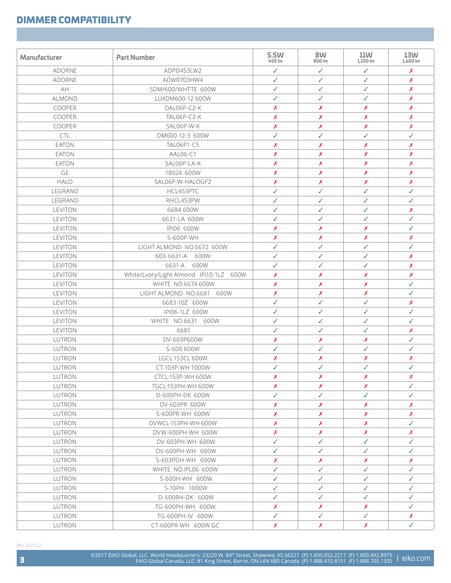## DIMMER COMPATIBILITY

| Manufacturer  | <b>Part Number</b>                      | 5.5W<br>450 lm   | 8W<br>800 lm     | 11W<br>1,100 lm  | 13W<br>1,600 lm  |
|---------------|-----------------------------------------|------------------|------------------|------------------|------------------|
| <b>ADORNE</b> | ADPD4531W2                              | ✓                | ✓                | ✓                | Х                |
| <b>ADORNE</b> | ADWR703HW4                              | ✓                | ✓                | ✓                | X                |
| AH            | SDM/600/WHTTE 600W                      | ✓                | ✓                | ✓                | X                |
| ALMOND        | LUXDM600-12 600W                        | ✓                | ✓                | ✓                | X                |
| COOPER        | DAL06P-C2-K                             | X                | X                | X                | X                |
| COOPER        | TAL06P-C2-K                             | X                | X                | $\boldsymbol{x}$ | X                |
| COOPER        | SAL06P-W-K                              | X                | X                | $\boldsymbol{x}$ | X                |
| <b>CTL</b>    | DM600-12-3 600W                         | ✓                | ✓                | ✓                | ✓                |
| <b>EATON</b>  | TAL06P1-C5                              | Х                | Х                | X                | X                |
| <b>EATON</b>  | AAL06-C1                                | X                | X                | X                | X                |
| <b>EATON</b>  | SAL06P-LA-K                             | X                | X                | X                | X                |
| GE            | 18024 600W                              | $\boldsymbol{x}$ | X                | X                | X                |
| <b>HALO</b>   | SAL06P-W-HALOGF2                        | X                | Х                | X                | X                |
| LEGRAND       | HCL453PTC                               | ✓                | ✓                | ✓                | ✓                |
| LEGRAND       | RHCL453PW                               | ✓                | ✓                | ✓                | ✓                |
| LEVITON       | 6684 600W                               | ✓                | ✓                | ✓                | X                |
| LEVITON       | 6631-LA 600W                            | ✓                | ✓                | ✓                | ✓                |
| LEVITON       | IPI06 600W                              | X                | Х                | X                | ✓                |
| LEVITON       | S-600P-WH                               | X                | X                | X                | Х                |
| LEVITON       | LIGHT ALMOND NO.6672 600W               | ✓                | ✓                | ✓                | ✓                |
| LEVITON       | 603-6631-A 600W                         | ✓                | ✓                | ✓                | X                |
| LEVITON       | 6631-A 600W                             | $\checkmark$     | ✓                | ✓                | X                |
| LEVITON       | White/Lvory/Light Almond IPI10-1LZ 600W | X                | Х                | X                | X                |
| LEVITON       | WHITE NO.6674 600W                      | X                | X                | X                | ✓                |
| LEVITON       | LIGHT ALMOND NO.6681 600W               | X                | X                | X                | ✓                |
| LEVITON       | 6683-10Z 600W                           | ✓                | ✓                | ✓                | X                |
| LEVITON       | IPI06-1LZ 600W                          | $\checkmark$     | ✓                | ✓                | ✓                |
| LEVITON       | WHITE NO.6631 600W                      | ✓                | ✓                | ✓                | ✓                |
| LEVITON       | 6681                                    | ✓                | ✓                | ✓                | Х                |
| LUTRON        | DV-603P600W                             | Х                | Х                | Х                | ✓                |
| LUTRON        | S-600 600W                              | ✓                | ✓                | ✓                | ✓                |
| LUTRON        | LGCL-153CL 600W                         | X                | X                | X                | X                |
| LUTRON        | CT-103P-WH 1000W                        | ✓                | ✓                | ✓                | ✓                |
| LUTRON        | CTCL-153P-WH 600W                       | $\boldsymbol{x}$ | $\boldsymbol{x}$ | X                | $\boldsymbol{x}$ |
| LUTRON        | TGCL-153PH-WH 600W                      | Х                | Х                | Х                | ✓                |
| LUTRON        | D-600PH-DK 600W                         | ✓                | ✓                | ✓                | ✓                |
| LUTRON        | DV-603PR 600W                           | $\boldsymbol{x}$ | X                | X                | Х                |
| LUTRON        | S-600PR-WH 600W                         | $\boldsymbol{x}$ | $\boldsymbol{x}$ | Х                | X                |
| LUTRON        | DVWCL-153PH-WH 600W                     | $\boldsymbol{x}$ | $\boldsymbol{x}$ | $\boldsymbol{x}$ | ✓                |
| LUTRON        | DVW-600PH-WH 600W                       | Х                | Х                | X                | Х                |
| LUTRON        | DV-603PH-WH 600W                        | ✓                | ✓                | ✓                | ✓                |
| LUTRON        | DV-600PH-WH 600W                        | ✓                | ✓                | ✓                | ✓                |
| LUTRON        | S-603PGH-WH 600W                        | Х                | Х                | Х                | Х                |
| LUTRON        | WHITE NO.IPL06 600W                     | ✓                | ✓                | ✓                | ✓                |
| LUTRON        | S-600H-WH 600W                          | ✓                | ✓                | ✓                | ✓                |
| LUTRON        | S-10PH 1000W                            | ✓                | ✓                | ✓                | ✓                |
| LUTRON        | D-600RH-DK 600W                         | ✓                | ✓                | ✓                | ✓                |
| LUTRON        | TG-600PH-WH 600W                        | $\boldsymbol{x}$ | $\boldsymbol{x}$ | Х                | ✓                |
| LUTRON        | TG-600PH-IV 600W                        | ✓                | $\checkmark$     | ✓                | Х                |
| LUTRON        | CT-600PR-WH 600W GC                     | Х                | Х                | Х                | ✓                |

Rev. 3/21/22